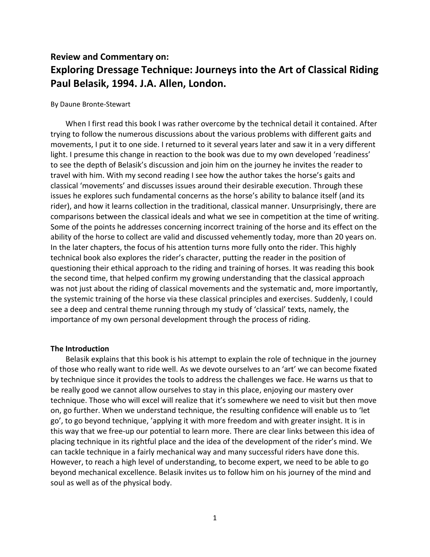# **Review and Commentary on: Exploring Dressage Technique: Journeys into the Art of Classical Riding Paul Belasik, 1994. J.A. Allen, London.**

#### By Daune Bronte-Stewart

When I first read this book I was rather overcome by the technical detail it contained. After trying to follow the numerous discussions about the various problems with different gaits and movements, I put it to one side. I returned to it several years later and saw it in a very different light. I presume this change in reaction to the book was due to my own developed 'readiness' to see the depth of Belasik's discussion and join him on the journey he invites the reader to travel with him. With my second reading I see how the author takes the horse's gaits and classical 'movements' and discusses issues around their desirable execution. Through these issues he explores such fundamental concerns as the horse's ability to balance itself (and its rider), and how it learns collection in the traditional, classical manner. Unsurprisingly, there are comparisons between the classical ideals and what we see in competition at the time of writing. Some of the points he addresses concerning incorrect training of the horse and its effect on the ability of the horse to collect are valid and discussed vehemently today, more than 20 years on. In the later chapters, the focus of his attention turns more fully onto the rider. This highly technical book also explores the rider's character, putting the reader in the position of questioning their ethical approach to the riding and training of horses. It was reading this book the second time, that helped confirm my growing understanding that the classical approach was not just about the riding of classical movements and the systematic and, more importantly, the systemic training of the horse via these classical principles and exercises. Suddenly, I could see a deep and central theme running through my study of 'classical' texts, namely, the importance of my own personal development through the process of riding.

# **The Introduction**

Belasik explains that this book is his attempt to explain the role of technique in the journey of those who really want to ride well. As we devote ourselves to an 'art' we can become fixated by technique since it provides the tools to address the challenges we face. He warns us that to be really good we cannot allow ourselves to stay in this place, enjoying our mastery over technique. Those who will excel will realize that it's somewhere we need to visit but then move on, go further. When we understand technique, the resulting confidence will enable us to 'let go', to go beyond technique, 'applying it with more freedom and with greater insight. It is in this way that we free-up our potential to learn more. There are clear links between this idea of placing technique in its rightful place and the idea of the development of the rider's mind. We can tackle technique in a fairly mechanical way and many successful riders have done this. However, to reach a high level of understanding, to become expert, we need to be able to go beyond mechanical excellence. Belasik invites us to follow him on his journey of the mind and soul as well as of the physical body.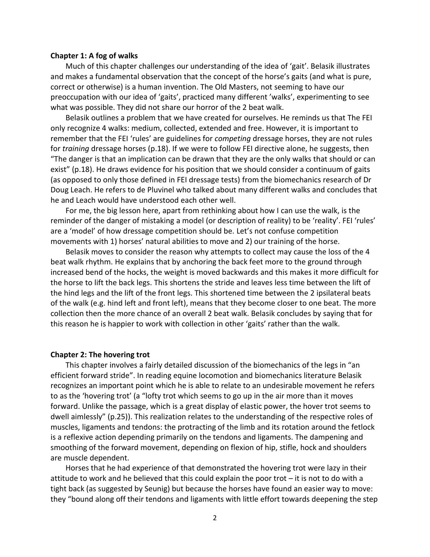#### **Chapter 1: A fog of walks**

Much of this chapter challenges our understanding of the idea of 'gait'. Belasik illustrates and makes a fundamental observation that the concept of the horse's gaits (and what is pure, correct or otherwise) is a human invention. The Old Masters, not seeming to have our preoccupation with our idea of 'gaits', practiced many different 'walks', experimenting to see what was possible. They did not share our horror of the 2 beat walk.

Belasik outlines a problem that we have created for ourselves. He reminds us that The FEI only recognize 4 walks: medium, collected, extended and free. However, it is important to remember that the FEI 'rules' are guidelines for *competing* dressage horses, they are not rules for *training* dressage horses (p.18). If we were to follow FEI directive alone, he suggests, then "The danger is that an implication can be drawn that they are the only walks that should or can exist" (p.18). He draws evidence for his position that we should consider a continuum of gaits (as opposed to only those defined in FEI dressage tests) from the biomechanics research of Dr Doug Leach. He refers to de Pluvinel who talked about many different walks and concludes that he and Leach would have understood each other well.

For me, the big lesson here, apart from rethinking about how I can use the walk, is the reminder of the danger of mistaking a model (or description of reality) to be 'reality'. FEI 'rules' are a 'model' of how dressage competition should be. Let's not confuse competition movements with 1) horses' natural abilities to move and 2) our training of the horse.

Belasik moves to consider the reason why attempts to collect may cause the loss of the 4 beat walk rhythm. He explains that by anchoring the back feet more to the ground through increased bend of the hocks, the weight is moved backwards and this makes it more difficult for the horse to lift the back legs. This shortens the stride and leaves less time between the lift of the hind legs and the lift of the front legs. This shortened time between the 2 ipsilateral beats of the walk (e.g. hind left and front left), means that they become closer to one beat. The more collection then the more chance of an overall 2 beat walk. Belasik concludes by saying that for this reason he is happier to work with collection in other 'gaits' rather than the walk.

#### **Chapter 2: The hovering trot**

This chapter involves a fairly detailed discussion of the biomechanics of the legs in "an efficient forward stride". In reading equine locomotion and biomechanics literature Belasik recognizes an important point which he is able to relate to an undesirable movement he refers to as the 'hovering trot' (a "lofty trot which seems to go up in the air more than it moves forward. Unlike the passage, which is a great display of elastic power, the hover trot seems to dwell aimlessly" (p.25)). This realization relates to the understanding of the respective roles of muscles, ligaments and tendons: the protracting of the limb and its rotation around the fetlock is a reflexive action depending primarily on the tendons and ligaments. The dampening and smoothing of the forward movement, depending on flexion of hip, stifle, hock and shoulders are muscle dependent.

Horses that he had experience of that demonstrated the hovering trot were lazy in their attitude to work and he believed that this could explain the poor trot – it is not to do with a tight back (as suggested by Seunig) but because the horses have found an easier way to move: they "bound along off their tendons and ligaments with little effort towards deepening the step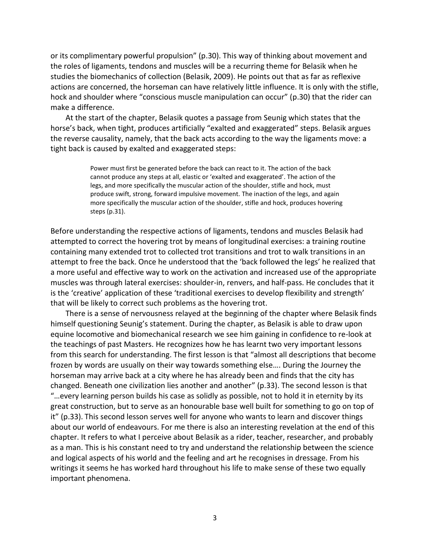or its complimentary powerful propulsion" (p.30). This way of thinking about movement and the roles of ligaments, tendons and muscles will be a recurring theme for Belasik when he studies the biomechanics of collection (Belasik, 2009). He points out that as far as reflexive actions are concerned, the horseman can have relatively little influence. It is only with the stifle, hock and shoulder where "conscious muscle manipulation can occur" (p.30) that the rider can make a difference.

At the start of the chapter, Belasik quotes a passage from Seunig which states that the horse's back, when tight, produces artificially "exalted and exaggerated" steps. Belasik argues the reverse causality, namely, that the back acts according to the way the ligaments move: a tight back is caused by exalted and exaggerated steps:

> Power must first be generated before the back can react to it. The action of the back cannot produce any steps at all, elastic or 'exalted and exaggerated'. The action of the legs, and more specifically the muscular action of the shoulder, stifle and hock, must produce swift, strong, forward impulsive movement. The inaction of the legs, and again more specifically the muscular action of the shoulder, stifle and hock, produces hovering steps (p.31).

Before understanding the respective actions of ligaments, tendons and muscles Belasik had attempted to correct the hovering trot by means of longitudinal exercises: a training routine containing many extended trot to collected trot transitions and trot to walk transitions in an attempt to free the back. Once he understood that the 'back followed the legs' he realized that a more useful and effective way to work on the activation and increased use of the appropriate muscles was through lateral exercises: shoulder-in, renvers, and half-pass. He concludes that it is the 'creative' application of these 'traditional exercises to develop flexibility and strength' that will be likely to correct such problems as the hovering trot.

There is a sense of nervousness relayed at the beginning of the chapter where Belasik finds himself questioning Seunig's statement. During the chapter, as Belasik is able to draw upon equine locomotive and biomechanical research we see him gaining in confidence to re-look at the teachings of past Masters. He recognizes how he has learnt two very important lessons from this search for understanding. The first lesson is that "almost all descriptions that become frozen by words are usually on their way towards something else…. During the Journey the horseman may arrive back at a city where he has already been and finds that the city has changed. Beneath one civilization lies another and another" (p.33). The second lesson is that "…every learning person builds his case as solidly as possible, not to hold it in eternity by its great construction, but to serve as an honourable base well built for something to go on top of it" (p.33). This second lesson serves well for anyone who wants to learn and discover things about our world of endeavours. For me there is also an interesting revelation at the end of this chapter. It refers to what I perceive about Belasik as a rider, teacher, researcher, and probably as a man. This is his constant need to try and understand the relationship between the science and logical aspects of his world and the feeling and art he recognises in dressage. From his writings it seems he has worked hard throughout his life to make sense of these two equally important phenomena.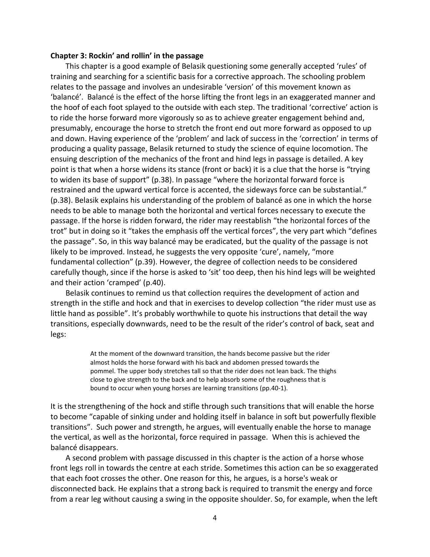#### **Chapter 3: Rockin' and rollin' in the passage**

This chapter is a good example of Belasik questioning some generally accepted 'rules' of training and searching for a scientific basis for a corrective approach. The schooling problem relates to the passage and involves an undesirable 'version' of this movement known as 'balancé'. Balancé is the effect of the horse lifting the front legs in an exaggerated manner and the hoof of each foot splayed to the outside with each step. The traditional 'corrective' action is to ride the horse forward more vigorously so as to achieve greater engagement behind and, presumably, encourage the horse to stretch the front end out more forward as opposed to up and down. Having experience of the 'problem' and lack of success in the 'correction' in terms of producing a quality passage, Belasik returned to study the science of equine locomotion. The ensuing description of the mechanics of the front and hind legs in passage is detailed. A key point is that when a horse widens its stance (front or back) it is a clue that the horse is "trying to widen its base of support" (p.38). In passage "where the horizontal forward force is restrained and the upward vertical force is accented, the sideways force can be substantial." (p.38). Belasik explains his understanding of the problem of balancé as one in which the horse needs to be able to manage both the horizontal and vertical forces necessary to execute the passage. If the horse is ridden forward, the rider may reestablish "the horizontal forces of the trot" but in doing so it "takes the emphasis off the vertical forces", the very part which "defines the passage". So, in this way balancé may be eradicated, but the quality of the passage is not likely to be improved. Instead, he suggests the very opposite 'cure', namely, "more fundamental collection" (p.39). However, the degree of collection needs to be considered carefully though, since if the horse is asked to 'sit' too deep, then his hind legs will be weighted and their action 'cramped' (p.40).

Belasik continues to remind us that collection requires the development of action and strength in the stifle and hock and that in exercises to develop collection "the rider must use as little hand as possible". It's probably worthwhile to quote his instructions that detail the way transitions, especially downwards, need to be the result of the rider's control of back, seat and legs:

> At the moment of the downward transition, the hands become passive but the rider almost holds the horse forward with his back and abdomen pressed towards the pommel. The upper body stretches tall so that the rider does not lean back. The thighs close to give strength to the back and to help absorb some of the roughness that is bound to occur when young horses are learning transitions (pp.40-1).

It is the strengthening of the hock and stifle through such transitions that will enable the horse to become "capable of sinking under and holding itself in balance in soft but powerfully flexible transitions". Such power and strength, he argues, will eventually enable the horse to manage the vertical, as well as the horizontal, force required in passage. When this is achieved the balancé disappears.

A second problem with passage discussed in this chapter is the action of a horse whose front legs roll in towards the centre at each stride. Sometimes this action can be so exaggerated that each foot crosses the other. One reason for this, he argues, is a horse's weak or disconnected back. He explains that a strong back is required to transmit the energy and force from a rear leg without causing a swing in the opposite shoulder. So, for example, when the left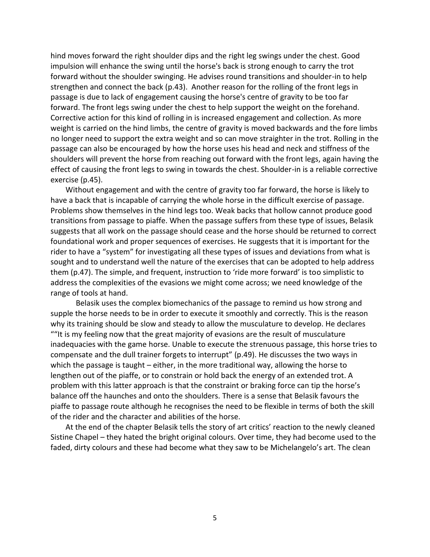hind moves forward the right shoulder dips and the right leg swings under the chest. Good impulsion will enhance the swing until the horse's back is strong enough to carry the trot forward without the shoulder swinging. He advises round transitions and shoulder-in to help strengthen and connect the back (p.43). Another reason for the rolling of the front legs in passage is due to lack of engagement causing the horse's centre of gravity to be too far forward. The front legs swing under the chest to help support the weight on the forehand. Corrective action for this kind of rolling in is increased engagement and collection. As more weight is carried on the hind limbs, the centre of gravity is moved backwards and the fore limbs no longer need to support the extra weight and so can move straighter in the trot. Rolling in the passage can also be encouraged by how the horse uses his head and neck and stiffness of the shoulders will prevent the horse from reaching out forward with the front legs, again having the effect of causing the front legs to swing in towards the chest. Shoulder-in is a reliable corrective exercise (p.45).

Without engagement and with the centre of gravity too far forward, the horse is likely to have a back that is incapable of carrying the whole horse in the difficult exercise of passage. Problems show themselves in the hind legs too. Weak backs that hollow cannot produce good transitions from passage to piaffe. When the passage suffers from these type of issues, Belasik suggests that all work on the passage should cease and the horse should be returned to correct foundational work and proper sequences of exercises. He suggests that it is important for the rider to have a "system" for investigating all these types of issues and deviations from what is sought and to understand well the nature of the exercises that can be adopted to help address them (p.47). The simple, and frequent, instruction to 'ride more forward' is too simplistic to address the complexities of the evasions we might come across; we need knowledge of the range of tools at hand.

Belasik uses the complex biomechanics of the passage to remind us how strong and supple the horse needs to be in order to execute it smoothly and correctly. This is the reason why its training should be slow and steady to allow the musculature to develop. He declares ""It is my feeling now that the great majority of evasions are the result of musculature inadequacies with the game horse. Unable to execute the strenuous passage, this horse tries to compensate and the dull trainer forgets to interrupt" (p.49). He discusses the two ways in which the passage is taught – either, in the more traditional way, allowing the horse to lengthen out of the piaffe, or to constrain or hold back the energy of an extended trot. A problem with this latter approach is that the constraint or braking force can tip the horse's balance off the haunches and onto the shoulders. There is a sense that Belasik favours the piaffe to passage route although he recognises the need to be flexible in terms of both the skill of the rider and the character and abilities of the horse.

At the end of the chapter Belasik tells the story of art critics' reaction to the newly cleaned Sistine Chapel – they hated the bright original colours. Over time, they had become used to the faded, dirty colours and these had become what they saw to be Michelangelo's art. The clean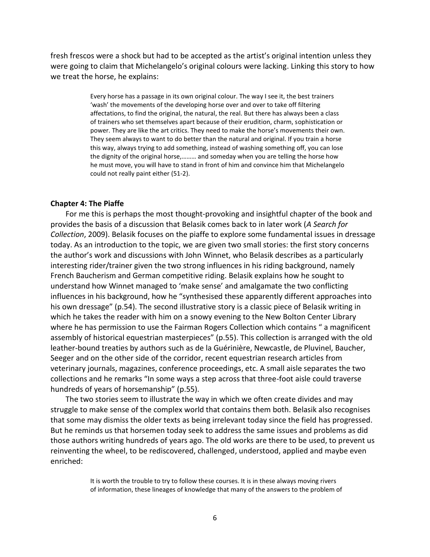fresh frescos were a shock but had to be accepted as the artist's original intention unless they were going to claim that Michelangelo's original colours were lacking. Linking this story to how we treat the horse, he explains:

> Every horse has a passage in its own original colour. The way I see it, the best trainers 'wash' the movements of the developing horse over and over to take off filtering affectations, to find the original, the natural, the real. But there has always been a class of trainers who set themselves apart because of their erudition, charm, sophistication or power. They are like the art critics. They need to make the horse's movements their own. They seem always to want to do better than the natural and original. If you train a horse this way, always trying to add something, instead of washing something off, you can lose the dignity of the original horse,……… and someday when you are telling the horse how he must move, you will have to stand in front of him and convince him that Michelangelo could not really paint either (51-2).

#### **Chapter 4: The Piaffe**

For me this is perhaps the most thought-provoking and insightful chapter of the book and provides the basis of a discussion that Belasik comes back to in later work (*A Search for Collection*, 2009). Belasik focuses on the piaffe to explore some fundamental issues in dressage today. As an introduction to the topic, we are given two small stories: the first story concerns the author's work and discussions with John Winnet, who Belasik describes as a particularly interesting rider/trainer given the two strong influences in his riding background, namely French Baucherism and German competitive riding. Belasik explains how he sought to understand how Winnet managed to 'make sense' and amalgamate the two conflicting influences in his background, how he "synthesised these apparently different approaches into his own dressage" (p.54). The second illustrative story is a classic piece of Belasik writing in which he takes the reader with him on a snowy evening to the New Bolton Center Library where he has permission to use the Fairman Rogers Collection which contains " a magnificent assembly of historical equestrian masterpieces" (p.55). This collection is arranged with the old leather-bound treaties by authors such as de la Guérinière, Newcastle, de Pluvinel, Baucher, Seeger and on the other side of the corridor, recent equestrian research articles from veterinary journals, magazines, conference proceedings, etc. A small aisle separates the two collections and he remarks "In some ways a step across that three-foot aisle could traverse hundreds of years of horsemanship" (p.55).

The two stories seem to illustrate the way in which we often create divides and may struggle to make sense of the complex world that contains them both. Belasik also recognises that some may dismiss the older texts as being irrelevant today since the field has progressed. But he reminds us that horsemen today seek to address the same issues and problems as did those authors writing hundreds of years ago. The old works are there to be used, to prevent us reinventing the wheel, to be rediscovered, challenged, understood, applied and maybe even enriched:

> It is worth the trouble to try to follow these courses. It is in these always moving rivers of information, these lineages of knowledge that many of the answers to the problem of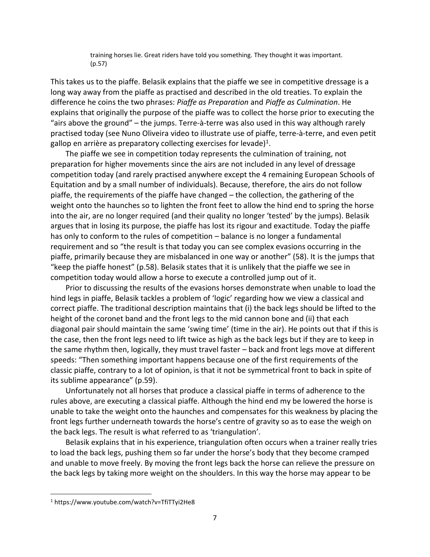training horses lie. Great riders have told you something. They thought it was important. (p.57)

This takes us to the piaffe. Belasik explains that the piaffe we see in competitive dressage is a long way away from the piaffe as practised and described in the old treaties. To explain the difference he coins the two phrases: *Piaffe as Preparation* and *Piaffe as Culmination*. He explains that originally the purpose of the piaffe was to collect the horse prior to executing the "airs above the ground" – the jumps. Terre-à-terre was also used in this way although rarely practised today (see Nuno Oliveira video to illustrate use of piaffe, terre-à-terre, and even petit gallop en arrière as preparatory collecting exercises for levade)<sup>1</sup>.

The piaffe we see in competition today represents the culmination of training, not preparation for higher movements since the airs are not included in any level of dressage competition today (and rarely practised anywhere except the 4 remaining European Schools of Equitation and by a small number of individuals). Because, therefore, the airs do not follow piaffe, the requirements of the piaffe have changed – the collection, the gathering of the weight onto the haunches so to lighten the front feet to allow the hind end to spring the horse into the air, are no longer required (and their quality no longer 'tested' by the jumps). Belasik argues that in losing its purpose, the piaffe has lost its rigour and exactitude. Today the piaffe has only to conform to the rules of competition – balance is no longer a fundamental requirement and so "the result is that today you can see complex evasions occurring in the piaffe, primarily because they are misbalanced in one way or another" (58). It is the jumps that "keep the piaffe honest" (p.58). Belasik states that it is unlikely that the piaffe we see in competition today would allow a horse to execute a controlled jump out of it.

Prior to discussing the results of the evasions horses demonstrate when unable to load the hind legs in piaffe, Belasik tackles a problem of 'logic' regarding how we view a classical and correct piaffe. The traditional description maintains that (i) the back legs should be lifted to the height of the coronet band and the front legs to the mid cannon bone and (ii) that each diagonal pair should maintain the same 'swing time' (time in the air). He points out that if this is the case, then the front legs need to lift twice as high as the back legs but if they are to keep in the same rhythm then, logically, they must travel faster – back and front legs move at different speeds: "Then something important happens because one of the first requirements of the classic piaffe, contrary to a lot of opinion, is that it not be symmetrical front to back in spite of its sublime appearance" (p.59).

Unfortunately not all horses that produce a classical piaffe in terms of adherence to the rules above, are executing a classical piaffe. Although the hind end my be lowered the horse is unable to take the weight onto the haunches and compensates for this weakness by placing the front legs further underneath towards the horse's centre of gravity so as to ease the weigh on the back legs. The result is what referred to as 'triangulation'.

Belasik explains that in his experience, triangulation often occurs when a trainer really tries to load the back legs, pushing them so far under the horse's body that they become cramped and unable to move freely. By moving the front legs back the horse can relieve the pressure on the back legs by taking more weight on the shoulders. In this way the horse may appear to be

 $\overline{\phantom{a}}$ 

<sup>1</sup> https://www.youtube.com/watch?v=TfiTTyi2He8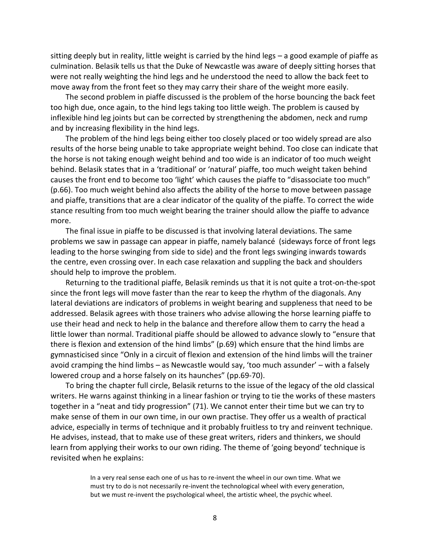sitting deeply but in reality, little weight is carried by the hind legs – a good example of piaffe as culmination. Belasik tells us that the Duke of Newcastle was aware of deeply sitting horses that were not really weighting the hind legs and he understood the need to allow the back feet to move away from the front feet so they may carry their share of the weight more easily.

The second problem in piaffe discussed is the problem of the horse bouncing the back feet too high due, once again, to the hind legs taking too little weigh. The problem is caused by inflexible hind leg joints but can be corrected by strengthening the abdomen, neck and rump and by increasing flexibility in the hind legs.

The problem of the hind legs being either too closely placed or too widely spread are also results of the horse being unable to take appropriate weight behind. Too close can indicate that the horse is not taking enough weight behind and too wide is an indicator of too much weight behind. Belasik states that in a 'traditional' or 'natural' piaffe, too much weight taken behind causes the front end to become too 'light' which causes the piaffe to "disassociate too much" (p.66). Too much weight behind also affects the ability of the horse to move between passage and piaffe, transitions that are a clear indicator of the quality of the piaffe. To correct the wide stance resulting from too much weight bearing the trainer should allow the piaffe to advance more.

The final issue in piaffe to be discussed is that involving lateral deviations. The same problems we saw in passage can appear in piaffe, namely balancé (sideways force of front legs leading to the horse swinging from side to side) and the front legs swinging inwards towards the centre, even crossing over. In each case relaxation and suppling the back and shoulders should help to improve the problem.

Returning to the traditional piaffe, Belasik reminds us that it is not quite a trot-on-the-spot since the front legs will move faster than the rear to keep the rhythm of the diagonals. Any lateral deviations are indicators of problems in weight bearing and suppleness that need to be addressed. Belasik agrees with those trainers who advise allowing the horse learning piaffe to use their head and neck to help in the balance and therefore allow them to carry the head a little lower than normal. Traditional piaffe should be allowed to advance slowly to "ensure that there is flexion and extension of the hind limbs" (p.69) which ensure that the hind limbs are gymnasticised since "Only in a circuit of flexion and extension of the hind limbs will the trainer avoid cramping the hind limbs – as Newcastle would say, 'too much assunder' – with a falsely lowered croup and a horse falsely on its haunches" (pp.69-70).

To bring the chapter full circle, Belasik returns to the issue of the legacy of the old classical writers. He warns against thinking in a linear fashion or trying to tie the works of these masters together in a "neat and tidy progression" (71). We cannot enter their time but we can try to make sense of them in our own time, in our own practise. They offer us a wealth of practical advice, especially in terms of technique and it probably fruitless to try and reinvent technique. He advises, instead, that to make use of these great writers, riders and thinkers, we should learn from applying their works to our own riding. The theme of 'going beyond' technique is revisited when he explains:

> In a very real sense each one of us has to re-invent the wheel in our own time. What we must try to do is not necessarily re-invent the technological wheel with every generation, but we must re-invent the psychological wheel, the artistic wheel, the psychic wheel.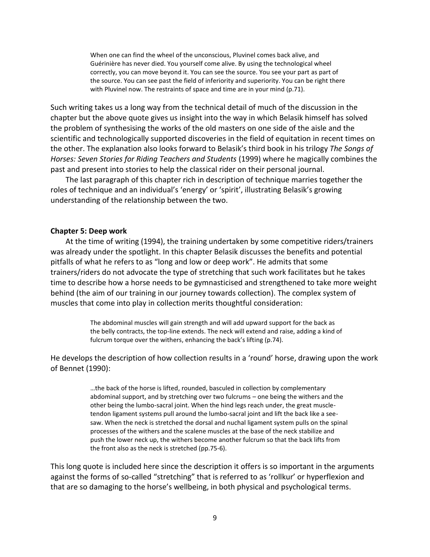When one can find the wheel of the unconscious, Pluvinel comes back alive, and Guérinière has never died. You yourself come alive. By using the technological wheel correctly, you can move beyond it. You can see the source. You see your part as part of the source. You can see past the field of inferiority and superiority. You can be right there with Pluvinel now. The restraints of space and time are in your mind (p.71).

Such writing takes us a long way from the technical detail of much of the discussion in the chapter but the above quote gives us insight into the way in which Belasik himself has solved the problem of synthesising the works of the old masters on one side of the aisle and the scientific and technologically supported discoveries in the field of equitation in recent times on the other. The explanation also looks forward to Belasik's third book in his trilogy *The Songs of Horses: Seven Stories for Riding Teachers and Students* (1999) where he magically combines the past and present into stories to help the classical rider on their personal journal.

The last paragraph of this chapter rich in description of technique marries together the roles of technique and an individual's 'energy' or 'spirit', illustrating Belasik's growing understanding of the relationship between the two.

# **Chapter 5: Deep work**

At the time of writing (1994), the training undertaken by some competitive riders/trainers was already under the spotlight. In this chapter Belasik discusses the benefits and potential pitfalls of what he refers to as "long and low or deep work". He admits that some trainers/riders do not advocate the type of stretching that such work facilitates but he takes time to describe how a horse needs to be gymnasticised and strengthened to take more weight behind (the aim of our training in our journey towards collection). The complex system of muscles that come into play in collection merits thoughtful consideration:

> The abdominal muscles will gain strength and will add upward support for the back as the belly contracts, the top-line extends. The neck will extend and raise, adding a kind of fulcrum torque over the withers, enhancing the back's lifting (p.74).

He develops the description of how collection results in a 'round' horse, drawing upon the work of Bennet (1990):

> …the back of the horse is lifted, rounded, basculed in collection by complementary abdominal support, and by stretching over two fulcrums – one being the withers and the other being the lumbo-sacral joint. When the hind legs reach under, the great muscletendon ligament systems pull around the lumbo-sacral joint and lift the back like a seesaw. When the neck is stretched the dorsal and nuchal ligament system pulls on the spinal processes of the withers and the scalene muscles at the base of the neck stabilize and push the lower neck up, the withers become another fulcrum so that the back lifts from the front also as the neck is stretched (pp.75-6).

This long quote is included here since the description it offers is so important in the arguments against the forms of so-called "stretching" that is referred to as 'rollkur' or hyperflexion and that are so damaging to the horse's wellbeing, in both physical and psychological terms.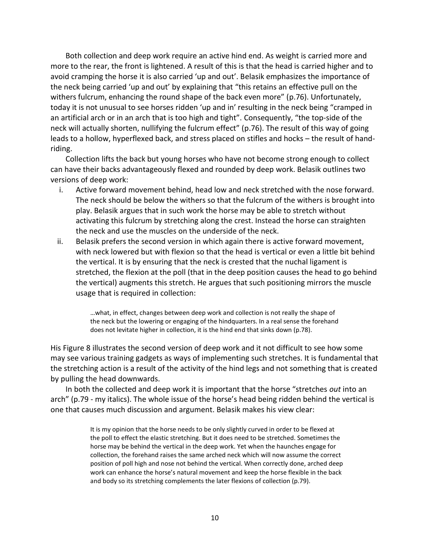Both collection and deep work require an active hind end. As weight is carried more and more to the rear, the front is lightened. A result of this is that the head is carried higher and to avoid cramping the horse it is also carried 'up and out'. Belasik emphasizes the importance of the neck being carried 'up and out' by explaining that "this retains an effective pull on the withers fulcrum, enhancing the round shape of the back even more" (p.76). Unfortunately, today it is not unusual to see horses ridden 'up and in' resulting in the neck being "cramped in an artificial arch or in an arch that is too high and tight". Consequently, "the top-side of the neck will actually shorten, nullifying the fulcrum effect" (p.76). The result of this way of going leads to a hollow, hyperflexed back, and stress placed on stifles and hocks – the result of handriding.

Collection lifts the back but young horses who have not become strong enough to collect can have their backs advantageously flexed and rounded by deep work. Belasik outlines two versions of deep work:

- i. Active forward movement behind, head low and neck stretched with the nose forward. The neck should be below the withers so that the fulcrum of the withers is brought into play. Belasik argues that in such work the horse may be able to stretch without activating this fulcrum by stretching along the crest. Instead the horse can straighten the neck and use the muscles on the underside of the neck.
- ii. Belasik prefers the second version in which again there is active forward movement, with neck lowered but with flexion so that the head is vertical or even a little bit behind the vertical. It is by ensuring that the neck is crested that the nuchal ligament is stretched, the flexion at the poll (that in the deep position causes the head to go behind the vertical) augments this stretch. He argues that such positioning mirrors the muscle usage that is required in collection:

…what, in effect, changes between deep work and collection is not really the shape of the neck but the lowering or engaging of the hindquarters. In a real sense the forehand does not levitate higher in collection, it is the hind end that sinks down (p.78).

His Figure 8 illustrates the second version of deep work and it not difficult to see how some may see various training gadgets as ways of implementing such stretches. It is fundamental that the stretching action is a result of the activity of the hind legs and not something that is created by pulling the head downwards.

In both the collected and deep work it is important that the horse "stretches *out* into an arch" (p.79 - my italics). The whole issue of the horse's head being ridden behind the vertical is one that causes much discussion and argument. Belasik makes his view clear:

> It is my opinion that the horse needs to be only slightly curved in order to be flexed at the poll to effect the elastic stretching. But it does need to be stretched. Sometimes the horse may be behind the vertical in the deep work. Yet when the haunches engage for collection, the forehand raises the same arched neck which will now assume the correct position of poll high and nose not behind the vertical. When correctly done, arched deep work can enhance the horse's natural movement and keep the horse flexible in the back and body so its stretching complements the later flexions of collection (p.79).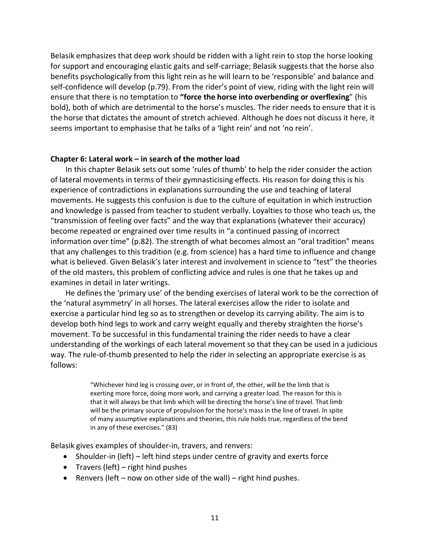Belasik emphasizes that deep work should be ridden with a light rein to stop the horse looking for support and encouraging elastic gaits and self-carriage; Belasik suggests that the horse also benefits psychologically from this light rein as he will learn to be 'responsible' and balance and self-confidence will develop (p.79). From the rider's point of view, riding with the light rein will ensure that there is no temptation to **"force the horse into overbending or overflexing**" (his bold), both of which are detrimental to the horse's muscles. The rider needs to ensure that it is the horse that dictates the amount of stretch achieved. Although he does not discuss it here, it seems important to emphasise that he talks of a 'light rein' and not 'no rein'.

#### **Chapter 6: Lateral work – in search of the mother load**

In this chapter Belasik sets out some 'rules of thumb' to help the rider consider the action of lateral movements in terms of their gymnasticising effects. His reason for doing this is his experience of contradictions in explanations surrounding the use and teaching of lateral movements. He suggests this confusion is due to the culture of equitation in which instruction and knowledge is passed from teacher to student verbally. Loyalties to those who teach us, the "transmission of feeling over facts" and the way that explanations (whatever their accuracy) become repeated or engrained over time results in "a continued passing of incorrect information over time" (p.82). The strength of what becomes almost an "oral tradition" means that any challenges to this tradition (e.g. from science) has a hard time to influence and change what is believed. Given Belasik's later interest and involvement in science to "test" the theories of the old masters, this problem of conflicting advice and rules is one that he takes up and examines in detail in later writings.

He defines the 'primary use' of the bending exercises of lateral work to be the correction of the 'natural asymmetry' in all horses. The lateral exercises allow the rider to isolate and exercise a particular hind leg so as to strengthen or develop its carrying ability. The aim is to develop both hind legs to work and carry weight equally and thereby straighten the horse's movement. To be successful in this fundamental training the rider needs to have a clear understanding of the workings of each lateral movement so that they can be used in a judicious way. The rule-of-thumb presented to help the rider in selecting an appropriate exercise is as follows:

> "Whichever hind leg is crossing over, or in front of, the other, will be the limb that is exerting more force, doing more work, and carrying a greater load. The reason for this is that it will always be that limb which will be directing the horse's line of travel. That limb will be the primary source of propulsion for the horse's mass in the line of travel. In spite of many assumptive explanations and theories, this rule holds true, regardless of the bend in any of these exercises." (83)

Belasik gives examples of shoulder-in, travers, and renvers:

- Shoulder-in (left) left hind steps under centre of gravity and exerts force
- Travers (left) right hind pushes
- **•** Renvers (left now on other side of the wall) right hind pushes.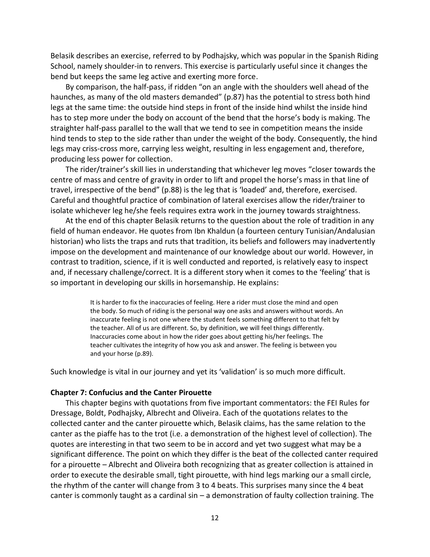Belasik describes an exercise, referred to by Podhajsky, which was popular in the Spanish Riding School, namely shoulder-in to renvers. This exercise is particularly useful since it changes the bend but keeps the same leg active and exerting more force.

By comparison, the half-pass, if ridden "on an angle with the shoulders well ahead of the haunches, as many of the old masters demanded" (p.87) has the potential to stress both hind legs at the same time: the outside hind steps in front of the inside hind whilst the inside hind has to step more under the body on account of the bend that the horse's body is making. The straighter half-pass parallel to the wall that we tend to see in competition means the inside hind tends to step to the side rather than under the weight of the body. Consequently, the hind legs may criss-cross more, carrying less weight, resulting in less engagement and, therefore, producing less power for collection.

The rider/trainer's skill lies in understanding that whichever leg moves "closer towards the centre of mass and centre of gravity in order to lift and propel the horse's mass in that line of travel, irrespective of the bend" (p.88) is the leg that is 'loaded' and, therefore, exercised. Careful and thoughtful practice of combination of lateral exercises allow the rider/trainer to isolate whichever leg he/she feels requires extra work in the journey towards straightness.

At the end of this chapter Belasik returns to the question about the role of tradition in any field of human endeavor. He quotes from Ibn Khaldun (a fourteen century Tunisian/Andalusian historian) who lists the traps and ruts that tradition, its beliefs and followers may inadvertently impose on the development and maintenance of our knowledge about our world. However, in contrast to tradition, science, if it is well conducted and reported, is relatively easy to inspect and, if necessary challenge/correct. It is a different story when it comes to the 'feeling' that is so important in developing our skills in horsemanship. He explains:

> It is harder to fix the inaccuracies of feeling. Here a rider must close the mind and open the body. So much of riding is the personal way one asks and answers without words. An inaccurate feeling is not one where the student feels something different to that felt by the teacher. All of us are different. So, by definition, we will feel things differently. Inaccuracies come about in how the rider goes about getting his/her feelings. The teacher cultivates the integrity of how you ask and answer. The feeling is between you and your horse (p.89).

Such knowledge is vital in our journey and yet its 'validation' is so much more difficult.

#### **Chapter 7: Confucius and the Canter Pirouette**

This chapter begins with quotations from five important commentators: the FEI Rules for Dressage, Boldt, Podhajsky, Albrecht and Oliveira. Each of the quotations relates to the collected canter and the canter pirouette which, Belasik claims, has the same relation to the canter as the piaffe has to the trot (i.e. a demonstration of the highest level of collection). The quotes are interesting in that two seem to be in accord and yet two suggest what may be a significant difference. The point on which they differ is the beat of the collected canter required for a pirouette – Albrecht and Oliveira both recognizing that as greater collection is attained in order to execute the desirable small, tight pirouette, with hind legs marking our a small circle, the rhythm of the canter will change from 3 to 4 beats. This surprises many since the 4 beat canter is commonly taught as a cardinal sin – a demonstration of faulty collection training. The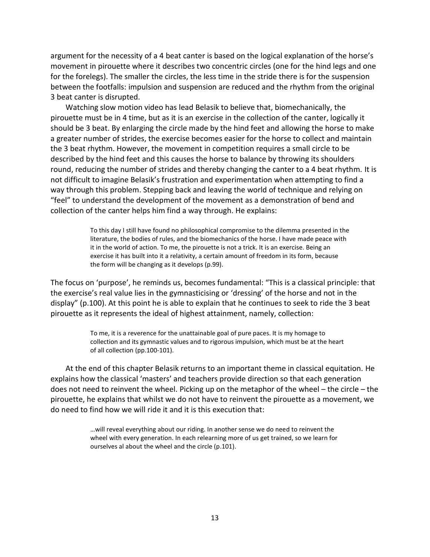argument for the necessity of a 4 beat canter is based on the logical explanation of the horse's movement in pirouette where it describes two concentric circles (one for the hind legs and one for the forelegs). The smaller the circles, the less time in the stride there is for the suspension between the footfalls: impulsion and suspension are reduced and the rhythm from the original 3 beat canter is disrupted.

Watching slow motion video has lead Belasik to believe that, biomechanically, the pirouette must be in 4 time, but as it is an exercise in the collection of the canter, logically it should be 3 beat. By enlarging the circle made by the hind feet and allowing the horse to make a greater number of strides, the exercise becomes easier for the horse to collect and maintain the 3 beat rhythm. However, the movement in competition requires a small circle to be described by the hind feet and this causes the horse to balance by throwing its shoulders round, reducing the number of strides and thereby changing the canter to a 4 beat rhythm. It is not difficult to imagine Belasik's frustration and experimentation when attempting to find a way through this problem. Stepping back and leaving the world of technique and relying on "feel" to understand the development of the movement as a demonstration of bend and collection of the canter helps him find a way through. He explains:

> To this day I still have found no philosophical compromise to the dilemma presented in the literature, the bodies of rules, and the biomechanics of the horse. I have made peace with it in the world of action. To me, the pirouette is not a trick. It is an exercise. Being an exercise it has built into it a relativity, a certain amount of freedom in its form, because the form will be changing as it develops (p.99).

The focus on 'purpose', he reminds us, becomes fundamental: "This is a classical principle: that the exercise's real value lies in the gymnasticising or 'dressing' of the horse and not in the display" (p.100). At this point he is able to explain that he continues to seek to ride the 3 beat pirouette as it represents the ideal of highest attainment, namely, collection:

> To me, it is a reverence for the unattainable goal of pure paces. It is my homage to collection and its gymnastic values and to rigorous impulsion, which must be at the heart of all collection (pp.100-101).

At the end of this chapter Belasik returns to an important theme in classical equitation. He explains how the classical 'masters' and teachers provide direction so that each generation does not need to reinvent the wheel. Picking up on the metaphor of the wheel – the circle – the pirouette, he explains that whilst we do not have to reinvent the pirouette as a movement, we do need to find how we will ride it and it is this execution that:

> …will reveal everything about our riding. In another sense we do need to reinvent the wheel with every generation. In each relearning more of us get trained, so we learn for ourselves al about the wheel and the circle (p.101).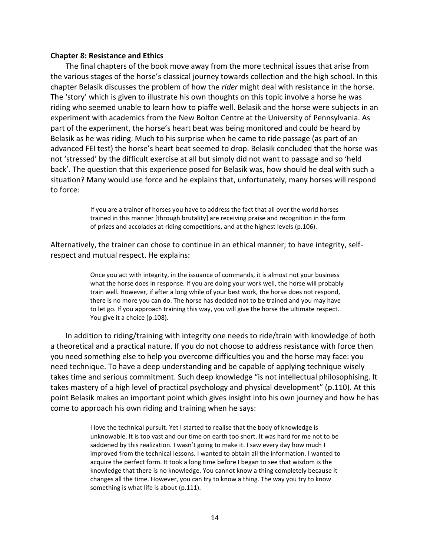## **Chapter 8: Resistance and Ethics**

The final chapters of the book move away from the more technical issues that arise from the various stages of the horse's classical journey towards collection and the high school. In this chapter Belasik discusses the problem of how the *rider* might deal with resistance in the horse. The 'story' which is given to illustrate his own thoughts on this topic involve a horse he was riding who seemed unable to learn how to piaffe well. Belasik and the horse were subjects in an experiment with academics from the New Bolton Centre at the University of Pennsylvania. As part of the experiment, the horse's heart beat was being monitored and could be heard by Belasik as he was riding. Much to his surprise when he came to ride passage (as part of an advanced FEI test) the horse's heart beat seemed to drop. Belasik concluded that the horse was not 'stressed' by the difficult exercise at all but simply did not want to passage and so 'held back'. The question that this experience posed for Belasik was, how should he deal with such a situation? Many would use force and he explains that, unfortunately, many horses will respond to force:

> If you are a trainer of horses you have to address the fact that all over the world horses trained in this manner [through brutality] are receiving praise and recognition in the form of prizes and accolades at riding competitions, and at the highest levels (p.106).

Alternatively, the trainer can chose to continue in an ethical manner; to have integrity, selfrespect and mutual respect. He explains:

> Once you act with integrity, in the issuance of commands, it is almost not your business what the horse does in response. If you are doing your work well, the horse will probably train well. However, if after a long while of your best work, the horse does not respond, there is no more you can do. The horse has decided not to be trained and you may have to let go. If you approach training this way, you will give the horse the ultimate respect. You give it a choice (p.108).

In addition to riding/training with integrity one needs to ride/train with knowledge of both a theoretical and a practical nature. If you do not choose to address resistance with force then you need something else to help you overcome difficulties you and the horse may face: you need technique. To have a deep understanding and be capable of applying technique wisely takes time and serious commitment. Such deep knowledge "is not intellectual philosophising. It takes mastery of a high level of practical psychology and physical development" (p.110). At this point Belasik makes an important point which gives insight into his own journey and how he has come to approach his own riding and training when he says:

> I love the technical pursuit. Yet I started to realise that the body of knowledge is unknowable. It is too vast and our time on earth too short. It was hard for me not to be saddened by this realization. I wasn't going to make it. I saw every day how much I improved from the technical lessons. I wanted to obtain all the information. I wanted to acquire the perfect form. It took a long time before I began to see that wisdom is the knowledge that there is no knowledge. You cannot know a thing completely because it changes all the time. However, you can try to know a thing. The way you try to know something is what life is about (p.111).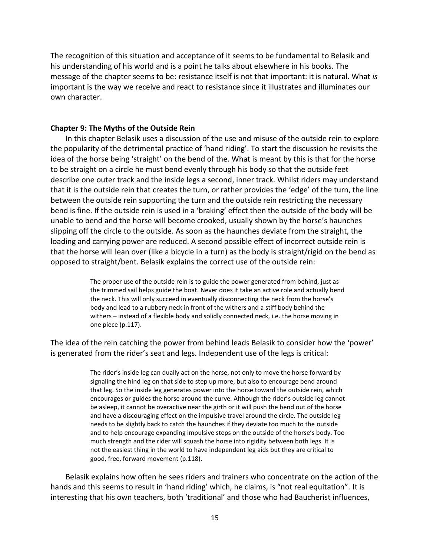The recognition of this situation and acceptance of it seems to be fundamental to Belasik and his understanding of his world and is a point he talks about elsewhere in his books. The message of the chapter seems to be: resistance itself is not that important: it is natural. What *is* important is the way we receive and react to resistance since it illustrates and illuminates our own character.

# **Chapter 9: The Myths of the Outside Rein**

In this chapter Belasik uses a discussion of the use and misuse of the outside rein to explore the popularity of the detrimental practice of 'hand riding'. To start the discussion he revisits the idea of the horse being 'straight' on the bend of the. What is meant by this is that for the horse to be straight on a circle he must bend evenly through his body so that the outside feet describe one outer track and the inside legs a second, inner track. Whilst riders may understand that it is the outside rein that creates the turn, or rather provides the 'edge' of the turn, the line between the outside rein supporting the turn and the outside rein restricting the necessary bend is fine. If the outside rein is used in a 'braking' effect then the outside of the body will be unable to bend and the horse will become crooked, usually shown by the horse's haunches slipping off the circle to the outside. As soon as the haunches deviate from the straight, the loading and carrying power are reduced. A second possible effect of incorrect outside rein is that the horse will lean over (like a bicycle in a turn) as the body is straight/rigid on the bend as opposed to straight/bent. Belasik explains the correct use of the outside rein:

> The proper use of the outside rein is to guide the power generated from behind, just as the trimmed sail helps guide the boat. Never does it take an active role and actually bend the neck. This will only succeed in eventually disconnecting the neck from the horse's body and lead to a rubbery neck in front of the withers and a stiff body behind the withers – instead of a flexible body and solidly connected neck, i.e. the horse moving in one piece (p.117).

The idea of the rein catching the power from behind leads Belasik to consider how the 'power' is generated from the rider's seat and legs. Independent use of the legs is critical:

> The rider's inside leg can dually act on the horse, not only to move the horse forward by signaling the hind leg on that side to step up more, but also to encourage bend around that leg. So the inside leg generates power into the horse toward the outside rein, which encourages or guides the horse around the curve. Although the rider's outside leg cannot be asleep, it cannot be overactive near the girth or it will push the bend out of the horse and have a discouraging effect on the impulsive travel around the circle. The outside leg needs to be slightly back to catch the haunches if they deviate too much to the outside and to help encourage expanding impulsive steps on the outside of the horse's body. Too much strength and the rider will squash the horse into rigidity between both legs. It is not the easiest thing in the world to have independent leg aids but they are critical to good, free, forward movement (p.118).

Belasik explains how often he sees riders and trainers who concentrate on the action of the hands and this seems to result in 'hand riding' which, he claims, is "not real equitation". It is interesting that his own teachers, both 'traditional' and those who had Baucherist influences,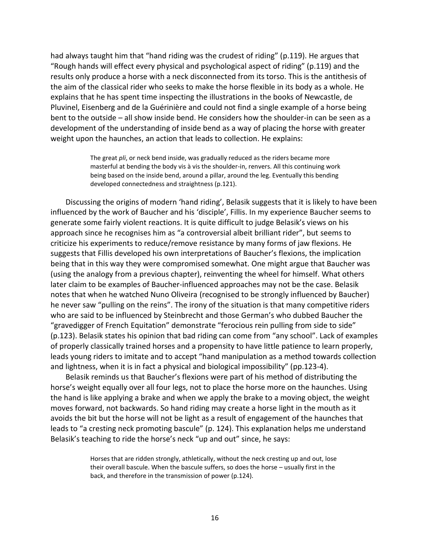had always taught him that "hand riding was the crudest of riding" (p.119). He argues that "Rough hands will effect every physical and psychological aspect of riding" (p.119) and the results only produce a horse with a neck disconnected from its torso. This is the antithesis of the aim of the classical rider who seeks to make the horse flexible in its body as a whole. He explains that he has spent time inspecting the illustrations in the books of Newcastle, de Pluvinel, Eisenberg and de la Guérinière and could not find a single example of a horse being bent to the outside – all show inside bend. He considers how the shoulder-in can be seen as a development of the understanding of inside bend as a way of placing the horse with greater weight upon the haunches, an action that leads to collection. He explains:

> The great *pli*, or neck bend inside, was gradually reduced as the riders became more masterful at bending the body vis à vis the shoulder-in, renvers. All this continuing work being based on the inside bend, around a pillar, around the leg. Eventually this bending developed connectedness and straightness (p.121).

Discussing the origins of modern 'hand riding', Belasik suggests that it is likely to have been influenced by the work of Baucher and his 'disciple', Fillis. In my experience Baucher seems to generate some fairly violent reactions. It is quite difficult to judge Belasik's views on his approach since he recognises him as "a controversial albeit brilliant rider", but seems to criticize his experiments to reduce/remove resistance by many forms of jaw flexions. He suggests that Fillis developed his own interpretations of Baucher's flexions, the implication being that in this way they were compromised somewhat. One might argue that Baucher was (using the analogy from a previous chapter), reinventing the wheel for himself. What others later claim to be examples of Baucher-influenced approaches may not be the case. Belasik notes that when he watched Nuno Oliveira (recognised to be strongly influenced by Baucher) he never saw "pulling on the reins". The irony of the situation is that many competitive riders who are said to be influenced by Steinbrecht and those German's who dubbed Baucher the "gravedigger of French Equitation" demonstrate "ferocious rein pulling from side to side" (p.123). Belasik states his opinion that bad riding can come from "any school". Lack of examples of properly classically trained horses and a propensity to have little patience to learn properly, leads young riders to imitate and to accept "hand manipulation as a method towards collection and lightness, when it is in fact a physical and biological impossibility" (pp.123-4).

Belasik reminds us that Baucher's flexions were part of his method of distributing the horse's weight equally over all four legs, not to place the horse more on the haunches. Using the hand is like applying a brake and when we apply the brake to a moving object, the weight moves forward, not backwards. So hand riding may create a horse light in the mouth as it avoids the bit but the horse will not be light as a result of engagement of the haunches that leads to "a cresting neck promoting bascule" (p. 124). This explanation helps me understand Belasik's teaching to ride the horse's neck "up and out" since, he says:

> Horses that are ridden strongly, athletically, without the neck cresting up and out, lose their overall bascule. When the bascule suffers, so does the horse – usually first in the back, and therefore in the transmission of power (p.124).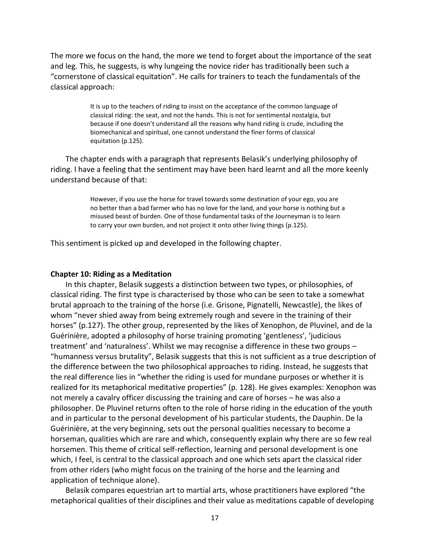The more we focus on the hand, the more we tend to forget about the importance of the seat and leg. This, he suggests, is why lungeing the novice rider has traditionally been such a "cornerstone of classical equitation". He calls for trainers to teach the fundamentals of the classical approach:

> It is up to the teachers of riding to insist on the acceptance of the common language of classical riding: the seat, and not the hands. This is not for sentimental nostalgia, but because if one doesn't understand all the reasons why hand riding is crude, including the biomechanical and spiritual, one cannot understand the finer forms of classical equitation (p.125).

The chapter ends with a paragraph that represents Belasik's underlying philosophy of riding. I have a feeling that the sentiment may have been hard learnt and all the more keenly understand because of that:

> However, if you use the horse for travel towards some destination of your ego, you are no better than a bad farmer who has no love for the land, and your horse is nothing but a misused beast of burden. One of those fundamental tasks of the Journeyman is to learn to carry your own burden, and not project it onto other living things (p.125).

This sentiment is picked up and developed in the following chapter.

#### **Chapter 10: Riding as a Meditation**

In this chapter, Belasik suggests a distinction between two types, or philosophies, of classical riding. The first type is characterised by those who can be seen to take a somewhat brutal approach to the training of the horse (i.e. Grisone, Pignatelli, Newcastle), the likes of whom "never shied away from being extremely rough and severe in the training of their horses" (p.127). The other group, represented by the likes of Xenophon, de Pluvinel, and de la Guérinière, adopted a philosophy of horse training promoting 'gentleness', 'judicious treatment' and 'naturalness'. Whilst we may recognise a difference in these two groups – "humanness versus brutality", Belasik suggests that this is not sufficient as a true description of the difference between the two philosophical approaches to riding. Instead, he suggests that the real difference lies in "whether the riding is used for mundane purposes or whether it is realized for its metaphorical meditative properties" (p. 128). He gives examples: Xenophon was not merely a cavalry officer discussing the training and care of horses – he was also a philosopher. De Pluvinel returns often to the role of horse riding in the education of the youth and in particular to the personal development of his particular students, the Dauphin. De la Guérinière, at the very beginning, sets out the personal qualities necessary to become a horseman, qualities which are rare and which, consequently explain why there are so few real horsemen. This theme of critical self-reflection, learning and personal development is one which, I feel, is central to the classical approach and one which sets apart the classical rider from other riders (who might focus on the training of the horse and the learning and application of technique alone).

Belasik compares equestrian art to martial arts, whose practitioners have explored "the metaphorical qualities of their disciplines and their value as meditations capable of developing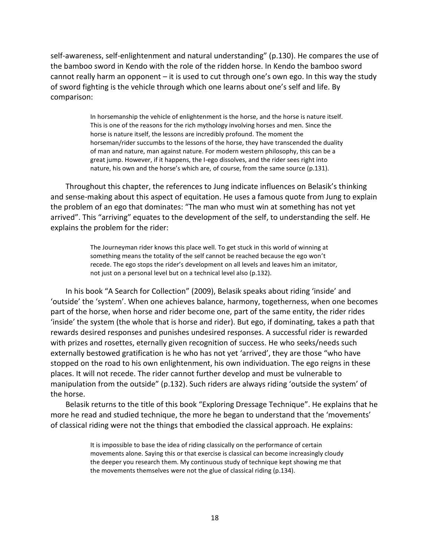self-awareness, self-enlightenment and natural understanding" (p.130). He compares the use of the bamboo sword in Kendo with the role of the ridden horse. In Kendo the bamboo sword cannot really harm an opponent – it is used to cut through one's own ego. In this way the study of sword fighting is the vehicle through which one learns about one's self and life. By comparison:

> In horsemanship the vehicle of enlightenment is the horse, and the horse is nature itself. This is one of the reasons for the rich mythology involving horses and men. Since the horse is nature itself, the lessons are incredibly profound. The moment the horseman/rider succumbs to the lessons of the horse, they have transcended the duality of man and nature, man against nature. For modern western philosophy, this can be a great jump. However, if it happens, the I-ego dissolves, and the rider sees right into nature, his own and the horse's which are, of course, from the same source (p.131).

Throughout this chapter, the references to Jung indicate influences on Belasik's thinking and sense-making about this aspect of equitation. He uses a famous quote from Jung to explain the problem of an ego that dominates: "The man who must win at something has not yet arrived". This "arriving" equates to the development of the self, to understanding the self. He explains the problem for the rider:

> The Journeyman rider knows this place well. To get stuck in this world of winning at something means the totality of the self cannot be reached because the ego won't recede. The ego stops the rider's development on all levels and leaves him an imitator, not just on a personal level but on a technical level also (p.132).

In his book "A Search for Collection" (2009), Belasik speaks about riding 'inside' and 'outside' the 'system'. When one achieves balance, harmony, togetherness, when one becomes part of the horse, when horse and rider become one, part of the same entity, the rider rides 'inside' the system (the whole that is horse and rider). But ego, if dominating, takes a path that rewards desired responses and punishes undesired responses. A successful rider is rewarded with prizes and rosettes, eternally given recognition of success. He who seeks/needs such externally bestowed gratification is he who has not yet 'arrived', they are those "who have stopped on the road to his own enlightenment, his own individuation. The ego reigns in these places. It will not recede. The rider cannot further develop and must be vulnerable to manipulation from the outside" (p.132). Such riders are always riding 'outside the system' of the horse.

Belasik returns to the title of this book "Exploring Dressage Technique". He explains that he more he read and studied technique, the more he began to understand that the 'movements' of classical riding were not the things that embodied the classical approach. He explains:

> It is impossible to base the idea of riding classically on the performance of certain movements alone. Saying this or that exercise is classical can become increasingly cloudy the deeper you research them. My continuous study of technique kept showing me that the movements themselves were not the glue of classical riding (p.134).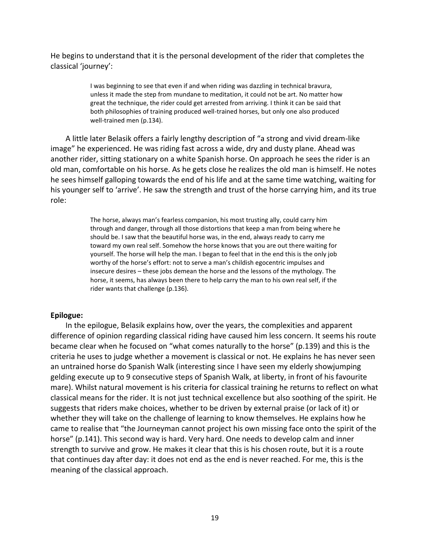He begins to understand that it is the personal development of the rider that completes the classical 'journey':

> I was beginning to see that even if and when riding was dazzling in technical bravura, unless it made the step from mundane to meditation, it could not be art. No matter how great the technique, the rider could get arrested from arriving. I think it can be said that both philosophies of training produced well-trained horses, but only one also produced well-trained men (p.134).

A little later Belasik offers a fairly lengthy description of "a strong and vivid dream-like image" he experienced. He was riding fast across a wide, dry and dusty plane. Ahead was another rider, sitting stationary on a white Spanish horse. On approach he sees the rider is an old man, comfortable on his horse. As he gets close he realizes the old man is himself. He notes he sees himself galloping towards the end of his life and at the same time watching, waiting for his younger self to 'arrive'. He saw the strength and trust of the horse carrying him, and its true role:

> The horse, always man's fearless companion, his most trusting ally, could carry him through and danger, through all those distortions that keep a man from being where he should be. I saw that the beautiful horse was, in the end, always ready to carry me toward my own real self. Somehow the horse knows that you are out there waiting for yourself. The horse will help the man. I began to feel that in the end this is the only job worthy of the horse's effort: not to serve a man's childish egocentric impulses and insecure desires – these jobs demean the horse and the lessons of the mythology. The horse, it seems, has always been there to help carry the man to his own real self, if the rider wants that challenge (p.136).

#### **Epilogue:**

In the epilogue, Belasik explains how, over the years, the complexities and apparent difference of opinion regarding classical riding have caused him less concern. It seems his route became clear when he focused on "what comes naturally to the horse" (p.139) and this is the criteria he uses to judge whether a movement is classical or not. He explains he has never seen an untrained horse do Spanish Walk (interesting since I have seen my elderly showjumping gelding execute up to 9 consecutive steps of Spanish Walk, at liberty, in front of his favourite mare). Whilst natural movement is his criteria for classical training he returns to reflect on what classical means for the rider. It is not just technical excellence but also soothing of the spirit. He suggests that riders make choices, whether to be driven by external praise (or lack of it) or whether they will take on the challenge of learning to know themselves. He explains how he came to realise that "the Journeyman cannot project his own missing face onto the spirit of the horse" (p.141). This second way is hard. Very hard. One needs to develop calm and inner strength to survive and grow. He makes it clear that this is his chosen route, but it is a route that continues day after day: it does not end as the end is never reached. For me, this is the meaning of the classical approach.